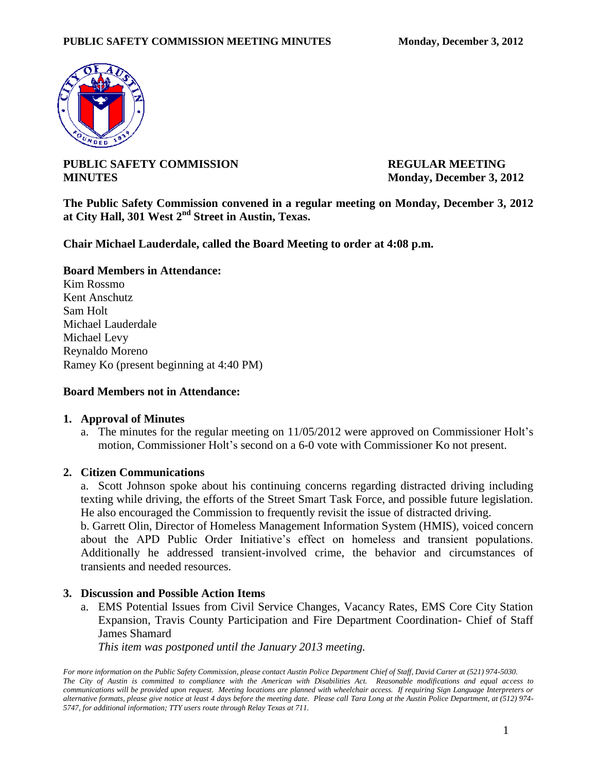

# **PUBLIC SAFETY COMMISSION REGULAR MEETING MINUTES** Monday, December 3, 2012

**The Public Safety Commission convened in a regular meeting on Monday, December 3, 2012 at City Hall, 301 West 2nd Street in Austin, Texas.**

**Chair Michael Lauderdale, called the Board Meeting to order at 4:08 p.m.** 

## **Board Members in Attendance:**

Kim Rossmo Kent Anschutz Sam Holt Michael Lauderdale Michael Levy Reynaldo Moreno Ramey Ko (present beginning at 4:40 PM)

### **Board Members not in Attendance:**

### **1. Approval of Minutes**

a. The minutes for the regular meeting on 11/05/2012 were approved on Commissioner Holt's motion, Commissioner Holt's second on a 6-0 vote with Commissioner Ko not present.

### **2. Citizen Communications**

a. Scott Johnson spoke about his continuing concerns regarding distracted driving including texting while driving, the efforts of the Street Smart Task Force, and possible future legislation. He also encouraged the Commission to frequently revisit the issue of distracted driving.

b. Garrett Olin, Director of Homeless Management Information System (HMIS), voiced concern about the APD Public Order Initiative's effect on homeless and transient populations. Additionally he addressed transient-involved crime, the behavior and circumstances of transients and needed resources.

### **3. Discussion and Possible Action Items**

a. EMS Potential Issues from Civil Service Changes, Vacancy Rates, EMS Core City Station Expansion, Travis County Participation and Fire Department Coordination- Chief of Staff James Shamard

*This item was postponed until the January 2013 meeting.* 

*For more information on the Public Safety Commission, please contact Austin Police Department Chief of Staff, David Carter at (521) 974-5030. The City of Austin is committed to compliance with the American with Disabilities Act. Reasonable modifications and equal access to communications will be provided upon request. Meeting locations are planned with wheelchair access. If requiring Sign Language Interpreters or alternative formats, please give notice at least 4 days before the meeting date. Please call Tara Long at the Austin Police Department, at (512) 974- 5747, for additional information; TTY users route through Relay Texas at 711.*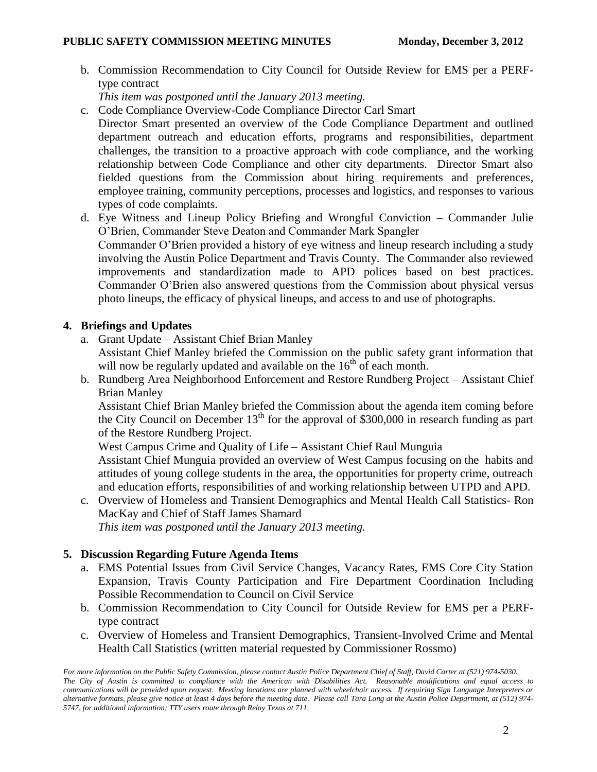## PUBLIC SAFETY COMMISSION MEETING MINUTES Monday, December 3, 2012

b. Commission Recommendation to City Council for Outside Review for EMS per a PERFtype contract

*This item was postponed until the January 2013 meeting.* 

- c. Code Compliance Overview-Code Compliance Director Carl Smart
- Director Smart presented an overview of the Code Compliance Department and outlined department outreach and education efforts, programs and responsibilities, department challenges, the transition to a proactive approach with code compliance, and the working relationship between Code Compliance and other city departments. Director Smart also fielded questions from the Commission about hiring requirements and preferences, employee training, community perceptions, processes and logistics, and responses to various types of code complaints.
- d. Eye Witness and Lineup Policy Briefing and Wrongful Conviction Commander Julie O'Brien, Commander Steve Deaton and Commander Mark Spangler Commander O'Brien provided a history of eye witness and lineup research including a study involving the Austin Police Department and Travis County. The Commander also reviewed improvements and standardization made to APD polices based on best practices. Commander O'Brien also answered questions from the Commission about physical versus photo lineups, the efficacy of physical lineups, and access to and use of photographs.

# **4. Briefings and Updates**

- a. Grant Update Assistant Chief Brian Manley Assistant Chief Manley briefed the Commission on the public safety grant information that will now be regularly updated and available on the  $16<sup>th</sup>$  of each month.
- b. Rundberg Area Neighborhood Enforcement and Restore Rundberg Project Assistant Chief Brian Manley

Assistant Chief Brian Manley briefed the Commission about the agenda item coming before the City Council on December  $13<sup>th</sup>$  for the approval of \$300,000 in research funding as part of the Restore Rundberg Project.

West Campus Crime and Quality of Life – Assistant Chief Raul Munguia

Assistant Chief Munguia provided an overview of West Campus focusing on the habits and attitudes of young college students in the area, the opportunities for property crime, outreach and education efforts, responsibilities of and working relationship between UTPD and APD.

c. Overview of Homeless and Transient Demographics and Mental Health Call Statistics- Ron MacKay and Chief of Staff James Shamard

*This item was postponed until the January 2013 meeting.* 

# **5. Discussion Regarding Future Agenda Items**

- a. EMS Potential Issues from Civil Service Changes, Vacancy Rates, EMS Core City Station Expansion, Travis County Participation and Fire Department Coordination Including Possible Recommendation to Council on Civil Service
- b. Commission Recommendation to City Council for Outside Review for EMS per a PERFtype contract
- c. Overview of Homeless and Transient Demographics, Transient-Involved Crime and Mental Health Call Statistics (written material requested by Commissioner Rossmo)

*For more information on the Public Safety Commission, please contact Austin Police Department Chief of Staff, David Carter at (521) 974-5030. The City of Austin is committed to compliance with the American with Disabilities Act. Reasonable modifications and equal access to communications will be provided upon request. Meeting locations are planned with wheelchair access. If requiring Sign Language Interpreters or alternative formats, please give notice at least 4 days before the meeting date. Please call Tara Long at the Austin Police Department, at (512) 974- 5747, for additional information; TTY users route through Relay Texas at 711.*